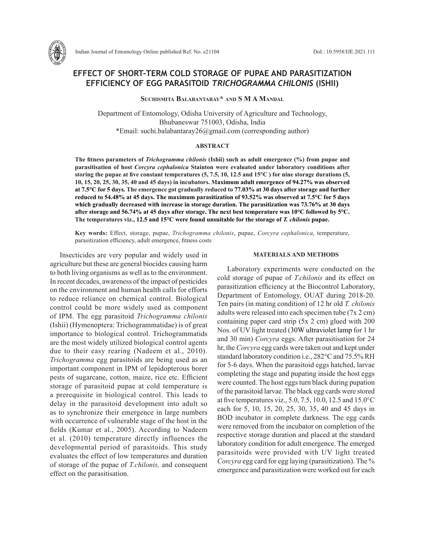

Indian Journal of Entomology Online published Ref. No. e21104 DoI.: 10.5958/IJE.2021.111

# **EFFECT OF SHORT-TERM COLD STORAGE OF PUPAE AND PARASITIZATION EFFICIENCY OF EGG PARASITOID** *TRICHOGRAMMA CHILONIS* **(ISHII)**

**Suchismita Balabantaray\* and S M A Mandal**

Department of Entomology, Odisha University of Agriculture and Technology, Bhubaneswar 751003, Odisha, India \*Email: suchi.balabantaray26@gmail.com (corresponding author)

#### **ABSTRACT**

**The fitness parameters of** *Trichogramma chilonis* **(Ishii) such as adult emergence (%) from pupae and parasitisation of host** *Corcyra cephalonica* **Stainton were evaluated under laboratory conditions after storing the pupae at five constant temperatures (5, 7.5, 10, 12.5 and 15°C ) for nine storage durations (5, 10, 15, 20, 25, 30, 35, 40 and 45 days) in incubators. Maximum adult emergence of 94.27% was observed at 7.5°C for 5 days. The emergence got gradually reduced to 77.03% at 30 days after storage and further reduced to 54.48% at 45 days. The maximum parasitization of 93.52% was observed at 7.5°C for 5 days which gradually decreased with increase in storage duration. The parasitization was 73.76% at 30 days after storage and 56.74% at 45 days after storage. The next best temperature was 10°C followed by 5°C. The temperatures viz., 12.5 and 15°C were found unsuitable for the storage of** *T. chilonis* **pupae.**

**Key words:** Effect, storage, pupae, *Trichogramma chilonis*, pupae, *Corcyra cephalonica*, temperature, parasitization efficiency, adult emergence, fitness costs

Insecticides are very popular and widely used in agriculture but these are general biocides causing harm to both living organisms as well as to the environment. In recent decades, awareness of the impact of pesticides on the environment and human health calls for efforts to reduce reliance on chemical control. Biological control could be more widely used as component of IPM. The egg parasitoid *Trichogramma chilonis* (Ishii) (Hymenoptera: Trichogrammatidae) is of great importance to biological control. Trichogrammatids are the most widely utilized biological control agents due to their easy rearing (Nadeem et al., 2010). *Trichogramma* egg parasitoids are being used as an important component in IPM of lepidopterous borer pests of sugarcane, cotton, maize, rice etc. Efficient storage of parasitoid pupae at cold temperature is a prerequisite in biological control. This leads to delay in the parasitoid development into adult so as to synchronize their emergence in large numbers with occurrence of vulnerable stage of the host in the fields (Kumar et al., 2005). According to Nadeem et al. (2010) temperature directly influences the developmental period of parasitoids. This study evaluates the effect of low temperatures and duration of storage of the pupae of *T.chilonis,* and consequent effect on the parasitisation.

### **MATERIALS AND METHODS**

Laboratory experiments were conducted on the cold storage of pupae of *T.chilonis* and its effect on parasitization efficiency at the Biocontrol Laboratory, Department of Entomology, OUAT during 2018-20. Ten pairs (in mating condition) of 12 hr old *T. chilonis*  adults were released into each specimen tube (7x 2 cm) containing paper card strip (5x 2 cm) glued with 200 Nos. of UV light treated (30W ultraviolet lamp for 1 hr and 30 min) *Corcyra* eggs. After parasitisation for 24 hr, the *Corcyra* egg cards were taken out and kept under standard laboratory condition i.e., 282°C and 75.5% RH for 5-6 days. When the parasitoid eggs hatched, larvae completing the stage and pupating inside the host eggs were counted. The host eggs turn black during pupation of the parasitoid larvae. The black egg cards were stored at five temperatures viz., 5.0, 7.5, 10.0, 12.5 and 15.0°C each for 5, 10, 15, 20, 25, 30, 35, 40 and 45 days in BOD incubator in complete darkness. The egg cards were removed from the incubator on completion of the respective storage duration and placed at the standard laboratory condition for adult emergence. The emerged parasitoids were provided with UV light treated *Corcyra* egg card for egg laying (parasitization). The % emergence and parasitization were worked out for each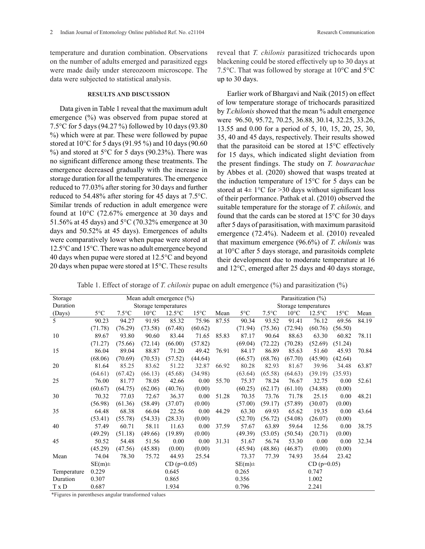temperature and duration combination. Observations on the number of adults emerged and parasitized eggs were made daily under stereozoom microscope. The data were subjected to statistical analysis.

### **RESULTS AND DISCUSSION**

Data given in Table 1 reveal that the maximum adult emergence (%) was observed from pupae stored at 7.5°C for 5 days (94.27 %) followed by 10 days (93.80 %) which were at par. These were followed by pupae stored at 10°C for 5 days (91.95 %) and 10 days (90.60 %) and stored at 5 $\degree$ C for 5 days (90.23%). There was no significant difference among these treatments. The emergence decreased gradually with the increase in storage duration for all the temperatures. The emergence reduced to 77.03% after storing for 30 days and further reduced to 54.48% after storing for 45 days at 7.5°C. Similar trends of reduction in adult emergence were found at 10°C (72.67% emergence at 30 days and 51.56% at 45 days) and 5°C (70.32% emergence at 30 days and 50.52% at 45 days). Emergences of adults were comparatively lower when pupae were stored at 12.5°C and 15°C. There was no adult emergence beyond 40 days when pupae were stored at 12.5°C and beyond 20 days when pupae were stored at 15°C. These results

reveal that *T. chilonis* parasitized trichocards upon blackening could be stored effectively up to 30 days at 7.5°C. That was followed by storage at 10°C and 5°C up to 30 days.

Earlier work of Bhargavi and Naik (2015) on effect of low temperature storage of trichocards parasitized by *T.chilonis* showed that the mean % adult emergence were 96.50, 95.72, 70.25, 36.88, 30.14, 32.25, 33.26, 13.55 and 0.00 for a period of 5, 10, 15, 20, 25, 30, 35, 40 and 45 days, respectively. Their results showed that the parasitoid can be stored at 15°C effectively for 15 days, which indicated slight deviation from the present findings. The study on *T. bourarachae* by Abbes et al. (2020) showed that wasps treated at the induction temperature of 15°C for 5 days can be stored at  $4\pm 1^{\circ}$ C for > 30 days without significant loss of their performance. Pathak et al. (2010) observed the suitable temperature for the storage of *T. chilonis,* and found that the cards can be stored at 15°C for 30 days after 5 days of parasitisation, with maximum parasitoid emergence (72.4%). Nadeem et al. (2010) revealed that maximum emergence (96.6%) of *T. chilonis* was at 10°C after 5 days storage, and parasitoids complete their development due to moderate temperature at 16 and 12°C, emerged after 25 days and 40 days storage,

Table 1. Effect of storage of *T. chilonis* pupae on adult emergence (%) and parasitization (%)

| Storage     | Mean adult emergence (%)   |                |                |                  |                |       | Parasitization $(\% )$     |                 |                |                  |                |       |
|-------------|----------------------------|----------------|----------------|------------------|----------------|-------|----------------------------|-----------------|----------------|------------------|----------------|-------|
| Duration    | Storage temperatures       |                |                |                  |                |       | Storage temperatures       |                 |                |                  |                |       |
| (Days)      | $5^{\circ}$ C              | $7.5^{\circ}C$ | $10^{\circ}$ C | $12.5^{\circ}$ C | $15^{\circ}$ C | Mean  | $5^{\circ}$ C              | $7.5^{\circ}$ C | $10^{\circ}$ C | $12.5^{\circ}$ C | $15^{\circ}$ C | Mean  |
| 5           | 90.23                      | 94.27          | 91.95          | 85.32            | 75.96          | 87.55 | 90.34                      | 93.52           | 91.41          | 76.12            | 69.56          | 84.19 |
|             | (71.78)                    | (76.29)        | (73.58)        | (67.48)          | (60.62)        |       | (71.94)                    | (75.36)         | (72.94)        | (60.76)          | (56.50)        |       |
| 10          | 89.67                      | 93.80          | 90.60          | 83.44            | 71.65          | 85.83 | 87.17                      | 90.64           | 88.63          | 63.30            | 60.82          | 78.11 |
|             | (71.27)                    | (75.66)        | (72.14)        | (66.00)          | (57.82)        |       | (69.04)                    | (72.22)         | (70.28)        | (52.69)          | (51.24)        |       |
| 15          | 86.04                      | 89.04          | 88.87          | 71.20            | 49.42          | 76.91 | 84.17                      | 86.89           | 85.63          | 51.60            | 45.93          | 70.84 |
|             | (68.06)                    | (70.69)        | (70.53)        | (57.52)          | (44.64)        |       | (66.57)                    | (68.76)         | (67.70)        | (45.90)          | (42.64)        |       |
| 20          | 81.64                      | 85.25          | 83.62          | 51.22            | 32.87          | 66.92 | 80.28                      | 82.93           | 81.67          | 39.96            | 34.48          | 63.87 |
|             | (64.61)                    | (67.42)        | (66.13)        | (45.68)          | (34.98)        |       | (63.64)                    | (65.58)         | (64.63)        | (39.19)          | (35.93)        |       |
| 25          | 76.00                      | 81.77          | 78.05          | 42.66            | 0.00           | 55.70 | 75.37                      | 78.24           | 76.67          | 32.75            | 0.00           | 52.61 |
|             | (60.67)                    | (64.75)        | (62.06)        | (40.76)          | (0.00)         |       | (60.25)                    | (62.17)         | (61.10)        | (34.88)          | (0.00)         |       |
| 30          | 70.32                      | 77.03          | 72.67          | 36.37            | 0.00           | 51.28 | 70.35                      | 73.76           | 71.78          | 25.15            | 0.00           | 48.21 |
|             | (56.98)                    | (61.36)        | (58.49)        | (37.07)          | (0.00)         |       | (57.00)                    | (59.17)         | (57.89)        | (30.07)          | (0.00)         |       |
| 35          | 64.48                      | 68.38          | 66.04          | 22.56            | 0.00           | 44.29 | 63.30                      | 69.93           | 65.62          | 19.35            | 0.00           | 43.64 |
|             | (53.41)                    | (55.78)        | (54.33)        | (28.33)          | (0.00)         |       | (52.70)                    | (56.72)         | (54.08)        | (26.07)          | (0.00)         |       |
| 40          | 57.49                      | 60.71          | 58.11          | 11.63            | 0.00           | 37.59 | 57.67                      | 63.89           | 59.64          | 12.56            | 0.00           | 38.75 |
|             | (49.29)                    | (51.18)        | (49.66)        | (19.89)          | (0.00)         |       | (49.39)                    | (53.05)         | (50.54)        | (20.71)          | (0.00)         |       |
| 45          | 50.52                      | 54.48          | 51.56          | 0.00             | 0.00           | 31.31 | 51.67                      | 56.74           | 53.30          | 0.00             | 0.00           | 32.34 |
|             | (45.29)                    | (47.56)        | (45.88)        | (0.00)           | (0.00)         |       | (45.94)                    | (48.86)         | (46.87)        | (0.00)           | (0.00)         |       |
| Mean        | 74.04                      | 78.30          | 75.72          | 44.93            | 25.54          |       | 73.37                      | 77.39           | 74.93          | 35.64            | 23.42          |       |
|             | $SE(m)$ ±<br>$CD (p=0.05)$ |                |                |                  |                |       | $CD (p=0.05)$<br>$SE(m)$ ± |                 |                |                  |                |       |
| Temperature | 0.229                      |                |                | 0.645            |                |       | 0.265                      |                 |                | 0.747            |                |       |
| Duration    | 0.307                      |                |                | 0.865            |                |       | 0.356                      |                 |                | 1.002            |                |       |
| T x D       | 0.687                      |                |                | 1.934            |                |       | 0.796                      |                 |                | 2.241            |                |       |

\*Figures in parentheses angular transformed values